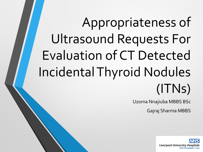# Appropriateness of Ultrasound Requests For Evaluation of CT Detected Incidental Thyroid Nodules (ITNs)

Uzoma Nnajiuba MBBS BSc

Gajraj Sharma MBBS

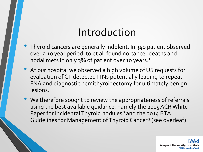### Introduction

- Thyroid cancers are generally indolent. In 340 patient observed over a 10 year period Ito et al. found no cancer deaths and nodal mets in only 3% of patient over 10 years.<sup>1</sup>
- At our hospital we observed a high volume of US requests for evaluation of CT detected ITNs potentially leading to repeat FNA and diagnostic hemithyroidectomy for ultimately benign lesions.
- We therefore sought to review the appropriateness of referrals using the best available guidance, namely the 2015 ACR White Paper for Incidental Thyroid nodules<sup>2</sup> and the 2014 BTA Guidelines for Management of Thyroid Cancer <sup>3</sup> (see overleaf)

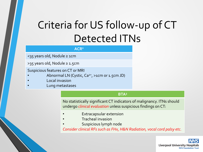# Criteria for US follow-up of CT Detected ITNs

#### **ACR2**

<35 years old, Nodule ≥ 1cm

>35 years old, Nodule ≥ 1.5cm

Suspicious features on CT or MRI

- Abnormal LN (Cystic, Ca<sup>2+</sup>, >1cm or 1.5cm JD)
- Local invasion
- Lung metastases

#### **BTA3**

No statistically significant CT indicators of malignancy. ITNs should undergo *clinical evaluation* unless suspicious findings on CT:

- **Extracapsular extension**
- Tracheal invasion
- Suspicious lymph node

*Consider clinical RFs such as FHx, H&N Radiation, vocal cord palsy etc.*

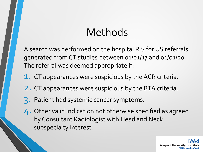## Methods

A search was performed on the hospital RIS for US referrals generated from CT studies between 01/01/17 and 01/01/20. The referral was deemed appropriate if:

- 1. CT appearances were suspicious by the ACR criteria.
- 2. CT appearances were suspicious by the BTA criteria.
- 3. Patient had systemic cancer symptoms.
- 4. Other valid indication not otherwise specified as agreed by Consultant Radiologist with Head and Neck subspecialty interest.

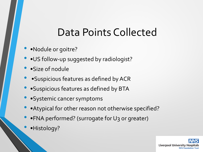### Data Points Collected

- •Nodule or goitre?
- •US follow-up suggested by radiologist?
- •Size of nodule
- •Suspicious features as defined by ACR
- •Suspicious features as defined by BTA
- •Systemic cancer symptoms
- •Atypical for other reason not otherwise specified?
- •FNA performed? (surrogate for U3 or greater)
- •Histology?

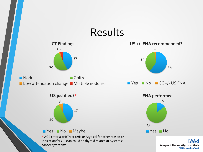#### Results



**Nodule** Goitre Low attenuation change Multiple nodules





\* ACR criteria **or** BTA criteria or Atypical for other reason **or** Indication for CT scan could be thyroid related **or** Systemic cancer symptoms



**NHS Liverpool University Hospitals NHS Foundation Trust**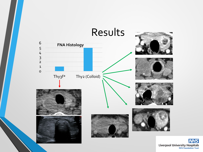

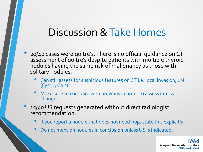#### Discussion & Take Homes

- 20/40 cases were goitre's. There is no official guidance on CT assessment of goitre's despite patients with multiple thyroid nodules having the same risk of malignancy as those with solitary nodules.
	- Can still assess for suspicious features on CT i.e. local invasion, LN  $(Cystic, Ca<sup>2+</sup>)$
	- Make sure to compare with previous in order to assess interval change.
- 15/40 US requests generated without direct radiologist recommendation.
	- If you report a nodule that does not need f/up, state this explicitly.
	- Do not mention nodules in conclusion unless US is indicated.

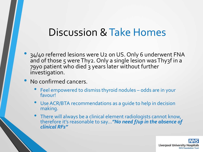#### Discussion & Take Homes

- 34/40 referred lesions were U2 on US. Only 6 underwent FNA and of those 5 were Thy2. Only a single lesion was Thy3f in a 79yo patient who died 3 years later without further investigation.
- No confirmed cancers.
	- Feel empowered to dismiss thyroid nodules odds are in your favour!
	- Use ACR/BTA recommendations as a guide to help in decision making.
	- There will always be a clinical element radiologists cannot know, therefore it's reasonable to say…*"No need f/up in the absence of clinical RFs"*